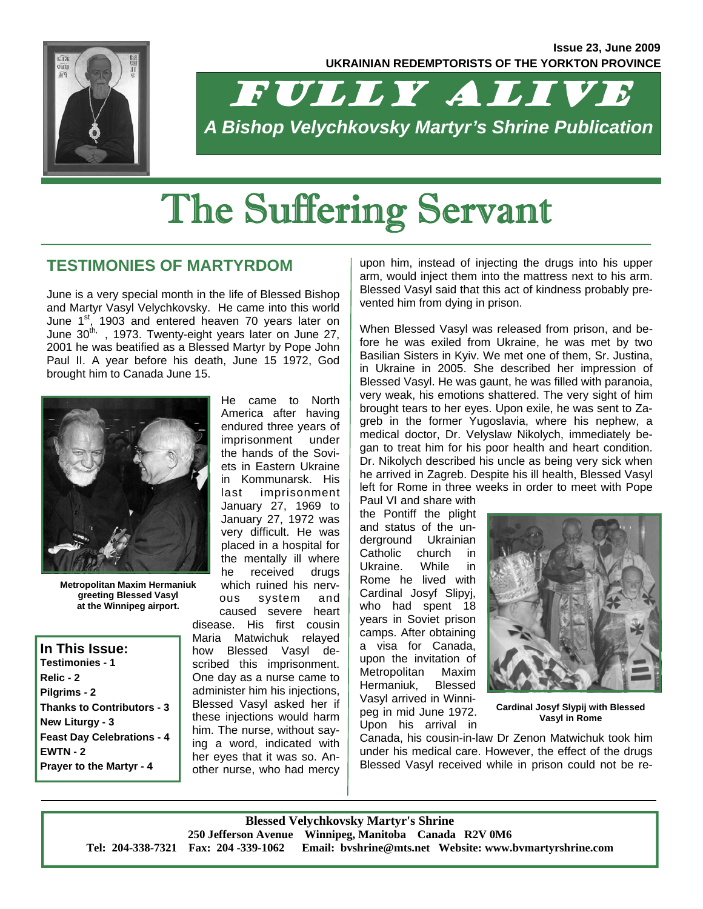

FULLY ALIVE *A Bishop Velychkovsky Martyr's Shrine Publication* 

# The Suffering Servant

## **TESTIMONIES OF MARTYRDOM**

June is a very special month in the life of Blessed Bishop and Martyr Vasyl Velychkovsky. He came into this world June 1<sup>st</sup>, 1903 and entered heaven 70 years later on June 30<sup>th,</sup>, 1973. Twenty-eight years later on June 27, 2001 he was beatified as a Blessed Martyr by Pope John Paul II. A year before his death, June 15 1972, God brought him to Canada June 15.



**Metropolitan Maxim Hermaniuk greeting Blessed Vasyl at the Winnipeg airport.** 

**In This Issue: Testimonies - 1 Relic - 2 Pilgrims - 2 Thanks to Contributors - 3 New Liturgy - 3 Feast Day Celebrations - 4 EWTN - 2 Prayer to the Martyr - 4**

America after having endured three years of imprisonment under the hands of the Soviets in Eastern Ukraine in Kommunarsk. His last imprisonment January 27, 1969 to January 27, 1972 was very difficult. He was placed in a hospital for the mentally ill where he received drugs which ruined his nervous system and caused severe heart disease. His first cousin Maria Matwichuk relayed how Blessed Vasyl described this imprisonment. One day as a nurse came to administer him his injections, Blessed Vasyl asked her if these injections would harm him. The nurse, without saying a word, indicated with her eyes that it was so. Another nurse, who had mercy

He came to North

upon him, instead of injecting the drugs into his upper arm, would inject them into the mattress next to his arm. Blessed Vasyl said that this act of kindness probably prevented him from dying in prison.

When Blessed Vasyl was released from prison, and before he was exiled from Ukraine, he was met by two Basilian Sisters in Kyiv. We met one of them, Sr. Justina, in Ukraine in 2005. She described her impression of Blessed Vasyl. He was gaunt, he was filled with paranoia, very weak, his emotions shattered. The very sight of him brought tears to her eyes. Upon exile, he was sent to Zagreb in the former Yugoslavia, where his nephew, a medical doctor, Dr. Velyslaw Nikolych, immediately began to treat him for his poor health and heart condition. Dr. Nikolych described his uncle as being very sick when he arrived in Zagreb. Despite his ill health, Blessed Vasyl left for Rome in three weeks in order to meet with Pope

Paul VI and share with the Pontiff the plight and status of the underground Ukrainian Catholic church in Ukraine. While in Rome he lived with Cardinal Josyf Slipyj, who had spent 18 years in Soviet prison camps. After obtaining a visa for Canada, upon the invitation of Metropolitan Maxim Hermaniuk, Blessed Vasyl arrived in Winnipeg in mid June 1972. Upon his arrival in



**Cardinal Josyf Slypij with Blessed Vasyl in Rome** 

Canada, his cousin-in-law Dr Zenon Matwichuk took him under his medical care. However, the effect of the drugs Blessed Vasyl received while in prison could not be re-

**Blessed Velychkovsky Martyr's Shrine 250 Jefferson Avenue Winnipeg, Manitoba Canada R2V 0M6 Tel: 204-338-7321 Fax: 204 -339-1062 Email: bvshrine@mts.net Website: www.bvmartyrshrine.com**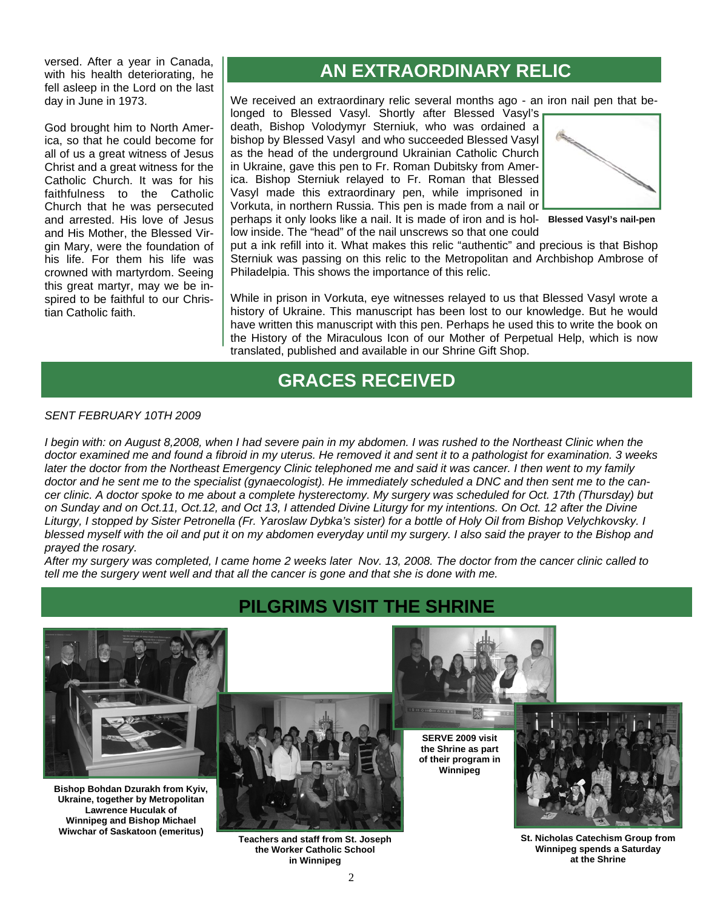versed. After a year in Canada, with his health deteriorating, he fell asleep in the Lord on the last day in June in 1973.

God brought him to North America, so that he could become for all of us a great witness of Jesus Christ and a great witness for the Catholic Church. It was for his faithfulness to the Catholic Church that he was persecuted and arrested. His love of Jesus and His Mother, the Blessed Virgin Mary, were the foundation of his life. For them his life was crowned with martyrdom. Seeing this great martyr, may we be inspired to be faithful to our Christian Catholic faith.

## **AN EXTRAORDINARY RELIC**

We received an extraordinary relic several months ago - an iron nail pen that be-

longed to Blessed Vasyl. Shortly after Blessed Vasyl's death, Bishop Volodymyr Sterniuk, who was ordained a bishop by Blessed Vasyl and who succeeded Blessed Vasyl as the head of the underground Ukrainian Catholic Church in Ukraine, gave this pen to Fr. Roman Dubitsky from America. Bishop Sterniuk relayed to Fr. Roman that Blessed Vasyl made this extraordinary pen, while imprisoned in Vorkuta, in northern Russia. This pen is made from a nail or



perhaps it only looks like a nail. It is made of iron and is hol-**Blessed Vasyl's nail-pen**  low inside. The "head" of the nail unscrews so that one could

put a ink refill into it. What makes this relic "authentic" and precious is that Bishop Sterniuk was passing on this relic to the Metropolitan and Archbishop Ambrose of Philadelpia. This shows the importance of this relic.

While in prison in Vorkuta, eye witnesses relayed to us that Blessed Vasyl wrote a history of Ukraine. This manuscript has been lost to our knowledge. But he would have written this manuscript with this pen. Perhaps he used this to write the book on the History of the Miraculous Icon of our Mother of Perpetual Help, which is now translated, published and available in our Shrine Gift Shop.

## **GRACES RECEIVED**

#### *SENT FEBRUARY 10TH 2009*

*I begin with: on August 8,2008, when I had severe pain in my abdomen. I was rushed to the Northeast Clinic when the doctor examined me and found a fibroid in my uterus. He removed it and sent it to a pathologist for examination. 3 weeks later the doctor from the Northeast Emergency Clinic telephoned me and said it was cancer. I then went to my family doctor and he sent me to the specialist (gynaecologist). He immediately scheduled a DNC and then sent me to the cancer clinic. A doctor spoke to me about a complete hysterectomy. My surgery was scheduled for Oct. 17th (Thursday) but on Sunday and on Oct.11, Oct.12, and Oct 13, I attended Divine Liturgy for my intentions. On Oct. 12 after the Divine Liturgy, I stopped by Sister Petronella (Fr. Yaroslaw Dybka's sister) for a bottle of Holy Oil from Bishop Velychkovsky. I blessed myself with the oil and put it on my abdomen everyday until my surgery. I also said the prayer to the Bishop and prayed the rosary.* 

*After my surgery was completed, I came home 2 weeks later Nov. 13, 2008. The doctor from the cancer clinic called to tell me the surgery went well and that all the cancer is gone and that she is done with me.* 



**Bishop Bohdan Dzurakh from Kyiv, Ukraine, together by Metropolitan Lawrence Huculak of Winnipeg and Bishop Michael** 

## **PILGRIMS VISIT THE SHRINE**



**Teachers and staff from St. Joseph the Worker Catholic School in Winnipeg** 



**SERVE 2009 visit the Shrine as part of their program in Winnipeg** 



**St. Nicholas Catechism Group from Winnipeg spends a Saturday at the Shrine**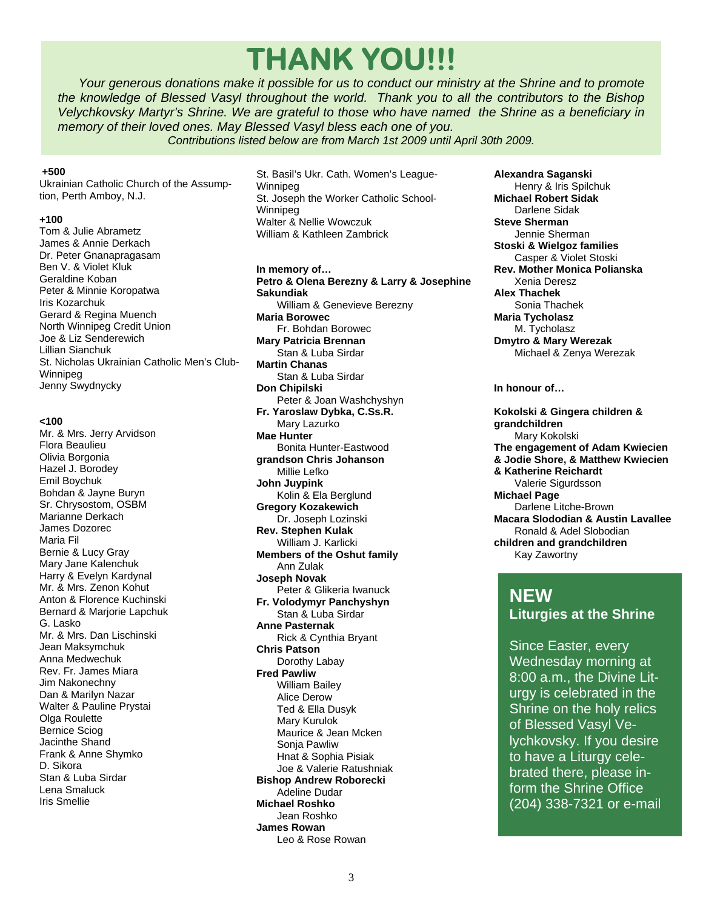## **THANK YOU!!!**

 *Your generous donations make it possible for us to conduct our ministry at the Shrine and to promote the knowledge of Blessed Vasyl throughout the world. Thank you to all the contributors to the Bishop Velychkovsky Martyr's Shrine. We are grateful to those who have named the Shrine as a beneficiary in memory of their loved ones. May Blessed Vasyl bless each one of you.* 

*Contributions listed below are from March 1st 2009 until April 30th 2009.*

#### **+500**

Ukrainian Catholic Church of the Assumption, Perth Amboy, N.J.

#### **+100**

Tom & Julie Abrametz James & Annie Derkach Dr. Peter Gnanapragasam Ben V. & Violet Kluk Geraldine Koban Peter & Minnie Koropatwa Iris Kozarchuk Gerard & Regina Muench North Winnipeg Credit Union Joe & Liz Senderewich Lillian Sianchuk St. Nicholas Ukrainian Catholic Men's Club-Winnipeg Jenny Swydnycky

#### **<100**

Mr. & Mrs. Jerry Arvidson Flora Beaulieu Olivia Borgonia Hazel J. Borodey Emil Boychuk Bohdan & Jayne Buryn Sr. Chrysostom, OSBM Marianne Derkach James Dozorec Maria Fil Bernie & Lucy Gray Mary Jane Kalenchuk Harry & Evelyn Kardynal Mr. & Mrs. Zenon Kohut Anton & Florence Kuchinski Bernard & Marjorie Lapchuk G. Lasko Mr. & Mrs. Dan Lischinski Jean Maksymchuk Anna Medwechuk Rev. Fr. James Miara Jim Nakonechny Dan & Marilyn Nazar Walter & Pauline Prystai **Olga Roulette** Bernice Sciog Jacinthe Shand Frank & Anne Shymko D. Sikora Stan & Luba Sirdar Lena Smaluck Iris Smellie

St. Basil's Ukr. Cath. Women's League-Winnipeg St. Joseph the Worker Catholic School-Winnipeg Walter & Nellie Wowczuk William & Kathleen Zambrick

**In memory of… Petro & Olena Berezny & Larry & Josephine Sakundiak**  William & Genevieve Berezny **Maria Borowec**  Fr. Bohdan Borowec **Mary Patricia Brennan**  Stan & Luba Sirdar **Martin Chanas**  Stan & Luba Sirdar **Don Chipilski**  Peter & Joan Washchyshyn **Fr. Yaroslaw Dybka, C.Ss.R.**  Mary Lazurko **Mae Hunter**  Bonita Hunter-Eastwood **grandson Chris Johanson**  Millie Lefko **John Juypink**  Kolin & Ela Berglund **Gregory Kozakewich**  Dr. Joseph Lozinski **Rev. Stephen Kulak**  William J. Karlicki **Members of the Oshut family**  Ann Zulak **Joseph Novak**  Peter & Glikeria Iwanuck **Fr. Volodymyr Panchyshyn**  Stan & Luba Sirdar **Anne Pasternak**  Rick & Cynthia Bryant **Chris Patson**  Dorothy Labay **Fred Pawliw**  William Bailey Alice Derow Ted & Ella Dusyk Mary Kurulok Maurice & Jean Mcken Sonja Pawliw Hnat & Sophia Pisiak Joe & Valerie Ratushniak **Bishop Andrew Roborecki** 

 Adeline Dudar **Michael Roshko**  Jean Roshko **James Rowan**  Leo & Rose Rowan **Alexandra Saganski**  Henry & Iris Spilchuk **Michael Robert Sidak**  Darlene Sidak **Steve Sherman**  Jennie Sherman **Stoski & Wielgoz families**  Casper & Violet Stoski **Rev. Mother Monica Polianska**  Xenia Deresz **Alex Thachek**  Sonia Thachek **Maria Tycholasz**  M. Tycholasz **Dmytro & Mary Werezak**  Michael & Zenya Werezak

**In honour of…** 

**Kokolski & Gingera children & grandchildren**  Mary Kokolski **The engagement of Adam Kwiecien & Jodie Shore, & Matthew Kwiecien & Katherine Reichardt**  Valerie Sigurdsson **Michael Page**  Darlene Litche-Brown **Macara Slododian & Austin Lavallee**  Ronald & Adel Slobodian **children and grandchildren**  Kay Zawortny

## **NEW**

**Liturgies at the Shrine** 

Since Easter, every Wednesday morning at 8:00 a.m., the Divine Liturgy is celebrated in the Shrine on the holy relics of Blessed Vasyl Velychkovsky. If you desire to have a Liturgy celebrated there, please inform the Shrine Office (204) 338-7321 or e-mail